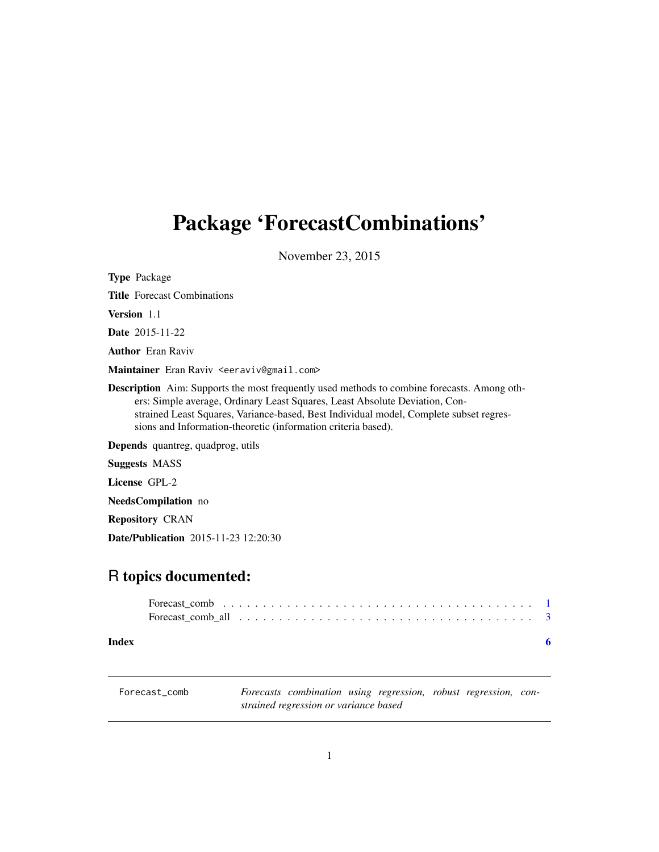## <span id="page-0-0"></span>Package 'ForecastCombinations'

November 23, 2015

Type Package

Title Forecast Combinations Version 1.1 Date 2015-11-22 Author Eran Raviv Maintainer Eran Raviv <eeraviv@gmail.com> Description Aim: Supports the most frequently used methods to combine forecasts. Among others: Simple average, Ordinary Least Squares, Least Absolute Deviation, Constrained Least Squares, Variance-based, Best Individual model, Complete subset regressions and Information-theoretic (information criteria based). Depends quantreg, quadprog, utils Suggests MASS License GPL-2 NeedsCompilation no

Repository CRAN

Date/Publication 2015-11-23 12:20:30

### R topics documented:

|       | Forecast comb $\ldots$ , $\ldots$ , $\ldots$ , $\ldots$ , $\ldots$ , $\ldots$ , $\ldots$ , $\ldots$ , $\ldots$ , $\ldots$ , $\ldots$ |  |
|-------|--------------------------------------------------------------------------------------------------------------------------------------|--|
| Index |                                                                                                                                      |  |

Forecast\_comb *Forecasts combination using regression, robust regression, constrained regression or variance based*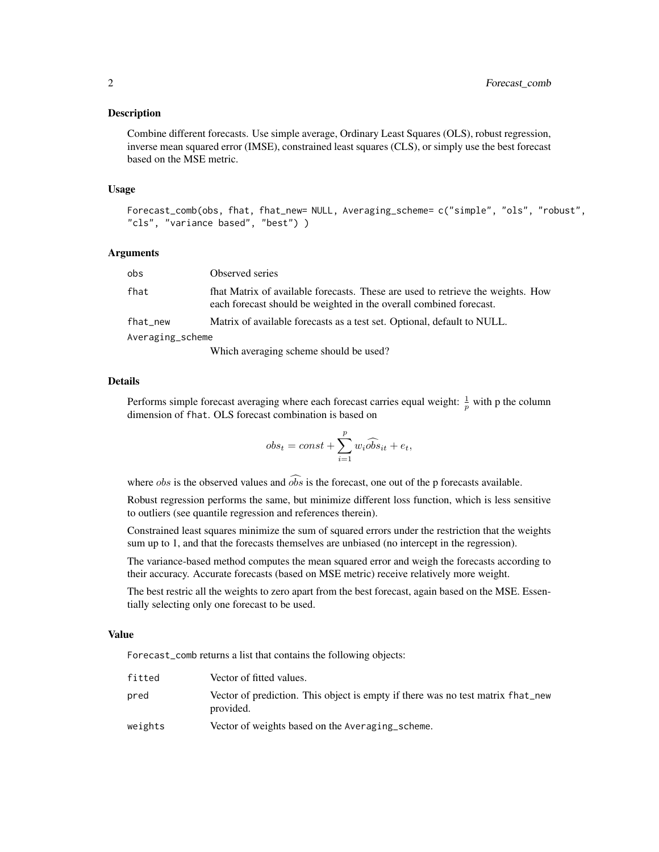#### Description

Combine different forecasts. Use simple average, Ordinary Least Squares (OLS), robust regression, inverse mean squared error (IMSE), constrained least squares (CLS), or simply use the best forecast based on the MSE metric.

#### Usage

```
Forecast_comb(obs, fhat, fhat_new= NULL, Averaging_scheme= c("simple", "ols", "robust",
"cls", "variance based", "best") )
```
#### Arguments

| obs              | Observed series                                                                                                                                       |
|------------------|-------------------------------------------------------------------------------------------------------------------------------------------------------|
| fhat             | fhat Matrix of available forecasts. These are used to retrieve the weights. How<br>each forecast should be weighted in the overall combined forecast. |
| fhat new         | Matrix of available forecasts as a test set. Optional, default to NULL.                                                                               |
| Averaging_scheme |                                                                                                                                                       |
|                  |                                                                                                                                                       |

Which averaging scheme should be used?

#### Details

Performs simple forecast averaging where each forecast carries equal weight:  $\frac{1}{p}$  with p the column dimension of fhat. OLS forecast combination is based on

$$
obs_t = const + \sum_{i=1}^{p} w_i \widehat{obs}_{it} + e_t,
$$

where *obs* is the observed values and  $\widehat{\partial b s}$  is the forecast, one out of the p forecasts available.

Robust regression performs the same, but minimize different loss function, which is less sensitive to outliers (see quantile regression and references therein).

Constrained least squares minimize the sum of squared errors under the restriction that the weights sum up to 1, and that the forecasts themselves are unbiased (no intercept in the regression).

The variance-based method computes the mean squared error and weigh the forecasts according to their accuracy. Accurate forecasts (based on MSE metric) receive relatively more weight.

The best restric all the weights to zero apart from the best forecast, again based on the MSE. Essentially selecting only one forecast to be used.

#### Value

Forecast\_comb returns a list that contains the following objects:

| fitted  | Vector of fitted values.                                                                     |
|---------|----------------------------------------------------------------------------------------------|
| pred    | Vector of prediction. This object is empty if there was no test matrix fhat_new<br>provided. |
| weights | Vector of weights based on the Averaging_scheme.                                             |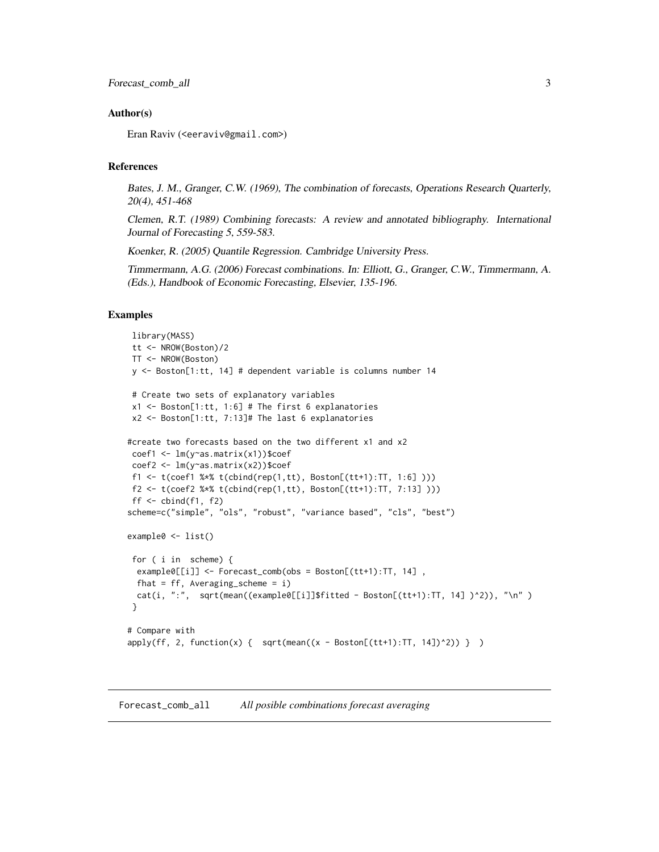<span id="page-2-0"></span>Forecast\_comb\_all 3

#### Author(s)

Eran Raviv (<eeraviv@gmail.com>)

#### References

Bates, J. M., Granger, C.W. (1969), The combination of forecasts, Operations Research Quarterly, 20(4), 451-468

Clemen, R.T. (1989) Combining forecasts: A review and annotated bibliography. International Journal of Forecasting 5, 559-583.

Koenker, R. (2005) Quantile Regression. Cambridge University Press.

Timmermann, A.G. (2006) Forecast combinations. In: Elliott, G., Granger, C.W., Timmermann, A. (Eds.), Handbook of Economic Forecasting, Elsevier, 135-196.

#### Examples

```
library(MASS)
tt <- NROW(Boston)/2
TT <- NROW(Boston)
y <- Boston[1:tt, 14] # dependent variable is columns number 14
# Create two sets of explanatory variables
x1 <- Boston[1:tt, 1:6] # The first 6 explanatories
x2 <- Boston[1:tt, 7:13]# The last 6 explanatories
#create two forecasts based on the two different x1 and x2
coef1 <- lm(y~as.matrix(x1))$coef
coef2 <- lm(y~as.matrix(x2))$coef
f1 <- t(coef1 %*% t(cbind(rep(1,tt), Boston[(tt+1):TT, 1:6] )))
f2 <- t(coef2 %*% t(cbind(rep(1,tt), Boston[(tt+1):TT, 7:13] )))
ff \le cbind(f1, f2)
scheme=c("simple", "ols", "robust", "variance based", "cls", "best")
example0 <- list()
for ( i in scheme) {
 example0[[i]] <- Forecast_comb(obs = Boston[(tt+1):TT, 14] ,
 fhat = ff, Averaging_scheme = i)
 cat(i, ":", sqrt(mean((example0[[i]]$fitted - Boston[(tt+1):TT, 14] )^2)), "\n" )
}
# Compare with
apply(ff, 2, function(x) { super(mean((x - Boston[(tt+1):TT, 14])^2)) } )
```
Forecast\_comb\_all *All posible combinations forecast averaging*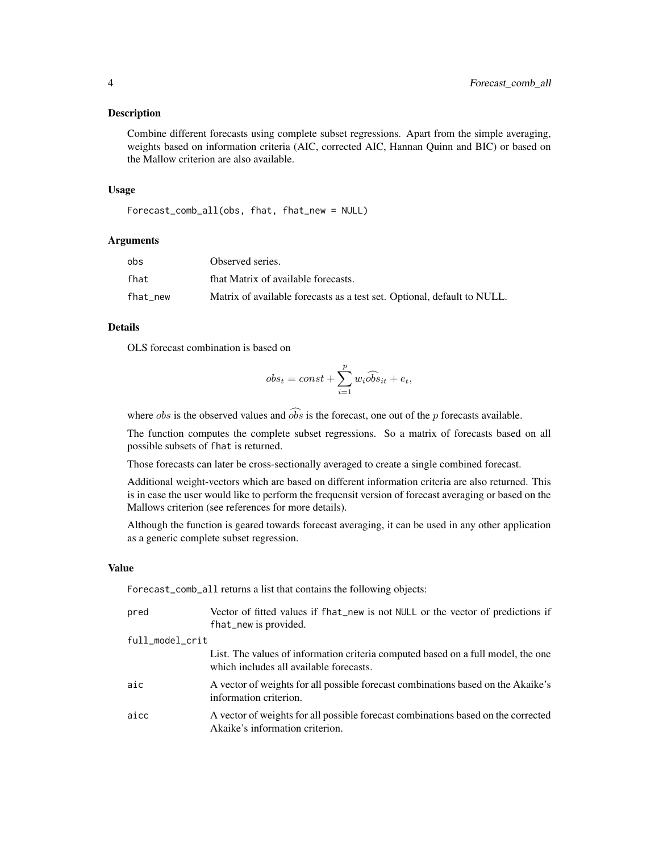#### Description

Combine different forecasts using complete subset regressions. Apart from the simple averaging, weights based on information criteria (AIC, corrected AIC, Hannan Quinn and BIC) or based on the Mallow criterion are also available.

#### Usage

Forecast\_comb\_all(obs, fhat, fhat\_new = NULL)

#### Arguments

| obs      | Observed series.                                                        |
|----------|-------------------------------------------------------------------------|
| fhat     | fhat Matrix of available forecasts.                                     |
| fhat new | Matrix of available forecasts as a test set. Optional, default to NULL. |

#### Details

OLS forecast combination is based on

$$
obs_t = const + \sum_{i=1}^{p} w_i \widehat{obs}_{it} + e_t,
$$

where *obs* is the observed values and  $\widehat{\partial b}$  is the forecast, one out of the p forecasts available.

The function computes the complete subset regressions. So a matrix of forecasts based on all possible subsets of fhat is returned.

Those forecasts can later be cross-sectionally averaged to create a single combined forecast.

Additional weight-vectors which are based on different information criteria are also returned. This is in case the user would like to perform the frequensit version of forecast averaging or based on the Mallows criterion (see references for more details).

Although the function is geared towards forecast averaging, it can be used in any other application as a generic complete subset regression.

#### Value

Forecast\_comb\_all returns a list that contains the following objects:

| pred            | Vector of fitted values if fhat new is not NULL or the vector of predictions if<br>fhat_new is provided.                    |
|-----------------|-----------------------------------------------------------------------------------------------------------------------------|
| full_model_crit |                                                                                                                             |
|                 | List. The values of information criteria computed based on a full model, the one<br>which includes all available forecasts. |
| aic             | A vector of weights for all possible forecast combinations based on the Akaike's<br>information criterion.                  |
| aicc            | A vector of weights for all possible forecast combinations based on the corrected<br>Akaike's information criterion.        |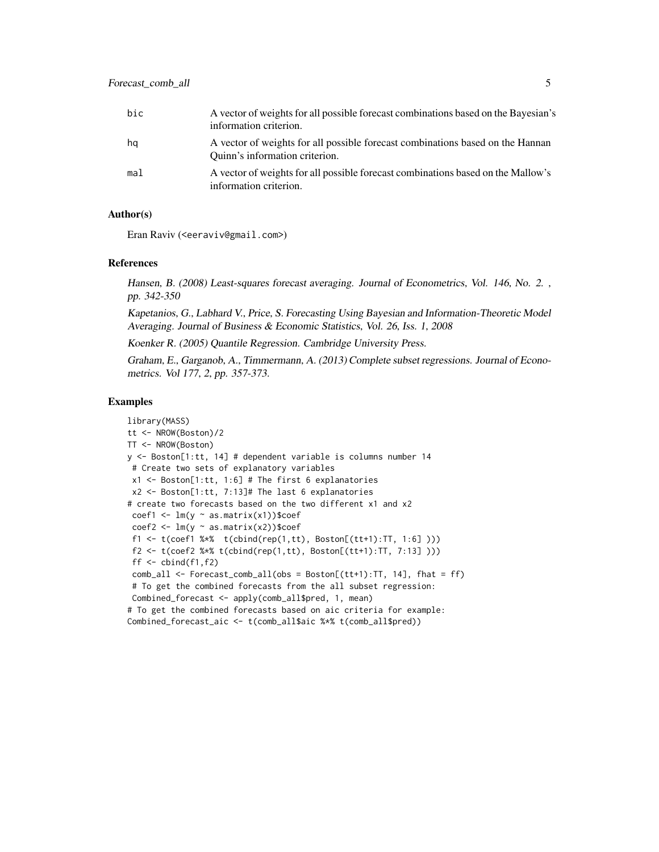| bic | A vector of weights for all possible forecast combinations based on the Bayesian's<br>information criterion.     |
|-----|------------------------------------------------------------------------------------------------------------------|
| hq  | A vector of weights for all possible forecast combinations based on the Hannan<br>Quinn's information criterion. |
| ma1 | A vector of weights for all possible forecast combinations based on the Mallow's<br>information criterion.       |

#### Author(s)

Eran Raviv (<eeraviv@gmail.com>)

#### References

Hansen, B. (2008) Least-squares forecast averaging. Journal of Econometrics, Vol. 146, No. 2. , pp. 342-350

Kapetanios, G., Labhard V., Price, S. Forecasting Using Bayesian and Information-Theoretic Model Averaging. Journal of Business & Economic Statistics, Vol. 26, Iss. 1, 2008

Koenker R. (2005) Quantile Regression. Cambridge University Press.

Graham, E., Garganob, A., Timmermann, A. (2013) Complete subset regressions. Journal of Econometrics. Vol 177, 2, pp. 357-373.

#### Examples

```
library(MASS)
tt <- NROW(Boston)/2
TT <- NROW(Boston)
y <- Boston[1:tt, 14] # dependent variable is columns number 14
 # Create two sets of explanatory variables
 x1 <- Boston[1:tt, 1:6] # The first 6 explanatories
x2 <- Boston[1:tt, 7:13]# The last 6 explanatories
# create two forecasts based on the two different x1 and x2
 coef1 \leq lm(y \sim as.matrix(x1))$coef
 coef2 \leftarrow lm(y \sim as.matrix(x2))$coef
 f1 <- t(coef1 %*% t(cbind(rep(1,tt), Boston[(tt+1):TT, 1:6] )))
 f2 <- t(coef2 %*% t(cbind(rep(1,tt), Boston[(tt+1):TT, 7:13] )))
 ff \le cbind(f1,f2)
 comb_all <- Forecast_comb_all(obs = Boston[(tt+1):TT, 14], fhat = ff)
 # To get the combined forecasts from the all subset regression:
 Combined_forecast <- apply(comb_all$pred, 1, mean)
# To get the combined forecasts based on aic criteria for example:
Combined_forecast_aic <- t(comb_all$aic %*% t(comb_all$pred))
```